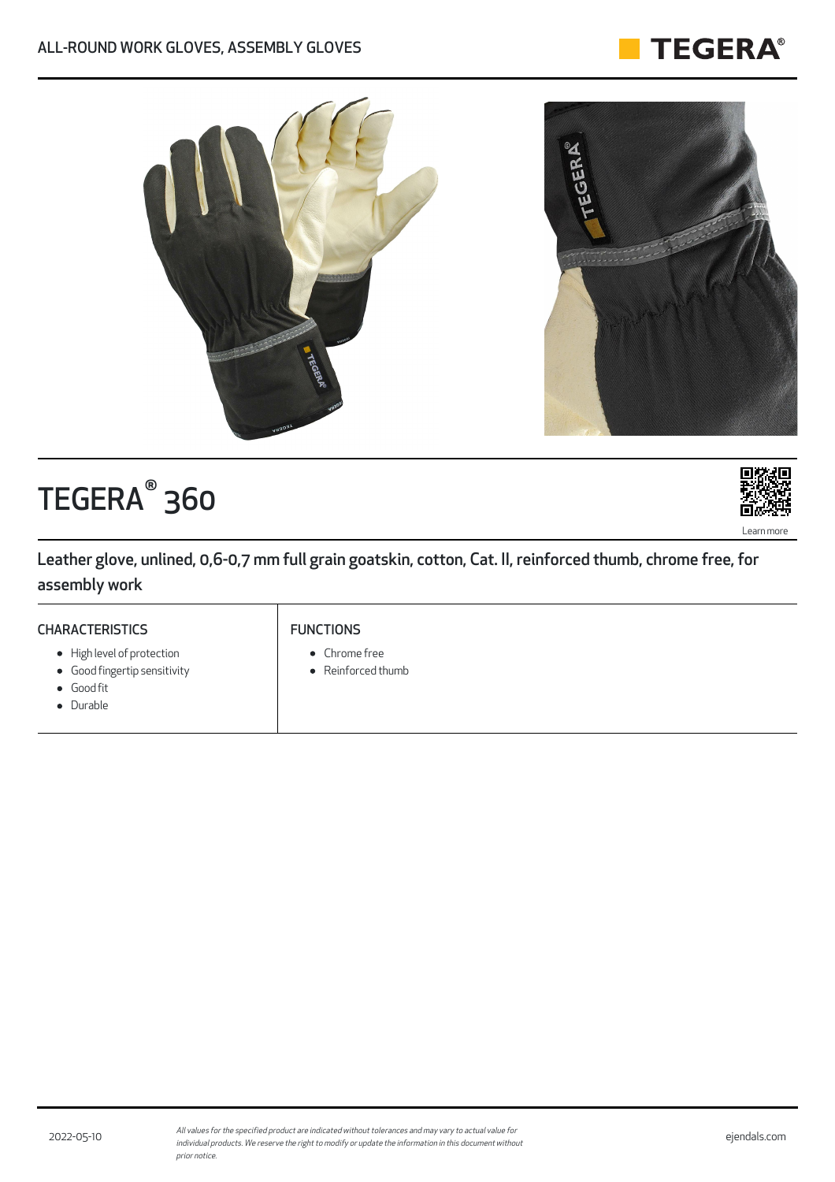



# TEGERA<sup>®</sup> 360



Leather glove, unlined, 0,6-0,7 mm full grain goatskin, cotton, Cat. II, reinforced thumb, chrome free, for assembly work

## **CHARACTERISTICS**

- High level of protection
- Good fingertip sensitivity
- Good fit
- Durable

### FUNCTIONS

- Chrome free
- Reinforced thumb